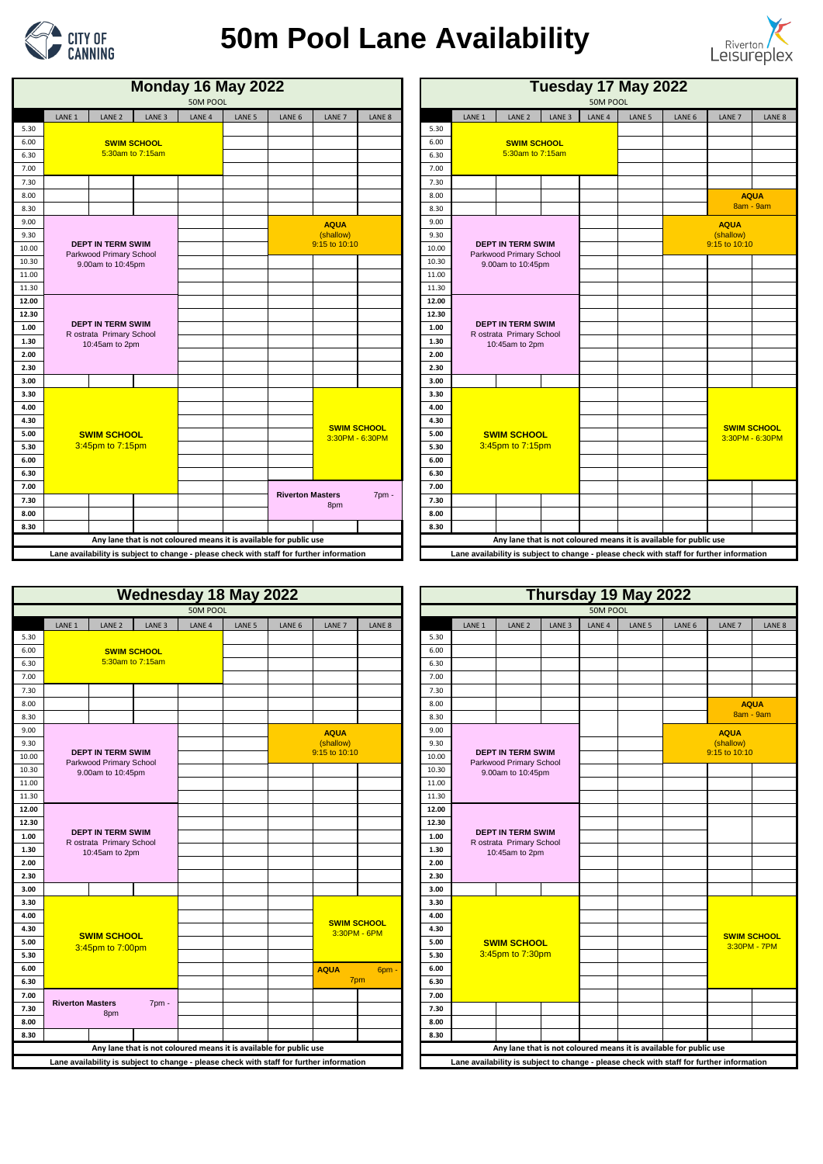|                   |                                                      |                    | <b>Monday 16 May 2022</b><br>50M POOL                                                   |                   |                                           |                                       |                   |       | Tuesday 17 May 2022<br>50M POOL |                                                      |                   |                   |                   |                                                                    |                                                                                          |        |  |
|-------------------|------------------------------------------------------|--------------------|-----------------------------------------------------------------------------------------|-------------------|-------------------------------------------|---------------------------------------|-------------------|-------|---------------------------------|------------------------------------------------------|-------------------|-------------------|-------------------|--------------------------------------------------------------------|------------------------------------------------------------------------------------------|--------|--|
| LANE <sub>1</sub> | LANE <sub>2</sub>                                    | LANE <sub>3</sub>  | LANE <sub>4</sub>                                                                       | LANE <sub>5</sub> | LANE <sub>6</sub>                         | LANE <sub>7</sub>                     | LANE <sub>8</sub> |       | LANE <sub>1</sub>               | LANE <sub>2</sub>                                    | LANE <sub>3</sub> | LANE <sub>4</sub> | LANE <sub>5</sub> | LANE <sub>6</sub>                                                  | LANE <sub>7</sub>                                                                        | LANE 8 |  |
|                   |                                                      |                    |                                                                                         |                   |                                           |                                       |                   | 5.30  |                                 |                                                      |                   |                   |                   |                                                                    |                                                                                          |        |  |
|                   |                                                      | <b>SWIM SCHOOL</b> |                                                                                         |                   |                                           |                                       |                   | 6.00  |                                 | <b>SWIM SCHOOL</b>                                   |                   |                   |                   |                                                                    |                                                                                          |        |  |
|                   |                                                      | 5:30am to 7:15am   |                                                                                         |                   |                                           |                                       |                   | 6.30  |                                 | 5:30am to 7:15am                                     |                   |                   |                   |                                                                    |                                                                                          |        |  |
|                   |                                                      |                    |                                                                                         |                   |                                           |                                       |                   | 7.00  |                                 |                                                      |                   |                   |                   |                                                                    |                                                                                          |        |  |
|                   |                                                      |                    |                                                                                         |                   |                                           |                                       |                   | 7.30  |                                 |                                                      |                   |                   |                   |                                                                    |                                                                                          |        |  |
|                   |                                                      |                    |                                                                                         |                   |                                           |                                       |                   | 8.00  |                                 |                                                      |                   |                   |                   |                                                                    | <b>AQUA</b>                                                                              |        |  |
|                   |                                                      |                    |                                                                                         |                   |                                           |                                       |                   | 8.30  |                                 |                                                      |                   |                   |                   |                                                                    | 8am - 9am                                                                                |        |  |
|                   |                                                      |                    |                                                                                         |                   |                                           | <b>AQUA</b>                           |                   | 9.00  |                                 |                                                      |                   |                   |                   |                                                                    | <b>AQUA</b>                                                                              |        |  |
|                   |                                                      |                    |                                                                                         |                   |                                           | (shallow)                             |                   | 9.30  |                                 |                                                      |                   |                   |                   |                                                                    | (shallow)                                                                                |        |  |
|                   | <b>DEPT IN TERM SWIM</b>                             |                    |                                                                                         |                   |                                           | 9:15 to 10:10                         |                   | 10.00 |                                 | <b>DEPT IN TERM SWIM</b><br>Parkwood Primary School  |                   |                   |                   |                                                                    | 9:15 to 10:10                                                                            |        |  |
|                   | Parkwood Primary School<br>9.00am to 10:45pm         |                    |                                                                                         |                   |                                           |                                       |                   | 10.30 | 9.00am to 10:45pm               |                                                      |                   |                   |                   |                                                                    |                                                                                          |        |  |
|                   |                                                      |                    |                                                                                         |                   |                                           |                                       |                   | 11.00 |                                 |                                                      |                   |                   |                   |                                                                    |                                                                                          |        |  |
|                   |                                                      |                    |                                                                                         |                   |                                           |                                       |                   | 11.30 |                                 |                                                      |                   |                   |                   |                                                                    |                                                                                          |        |  |
|                   |                                                      |                    |                                                                                         |                   |                                           |                                       |                   | 12.00 |                                 |                                                      |                   |                   |                   |                                                                    |                                                                                          |        |  |
|                   |                                                      |                    |                                                                                         |                   |                                           |                                       |                   | 12.30 |                                 |                                                      |                   |                   |                   |                                                                    |                                                                                          |        |  |
|                   | <b>DEPT IN TERM SWIM</b><br>R ostrata Primary School |                    |                                                                                         |                   |                                           |                                       |                   | 1.00  |                                 | <b>DEPT IN TERM SWIM</b><br>R ostrata Primary School |                   |                   |                   |                                                                    |                                                                                          |        |  |
|                   | 10:45am to 2pm                                       |                    |                                                                                         |                   |                                           |                                       |                   | 1.30  |                                 | 10:45am to 2pm                                       |                   |                   |                   |                                                                    |                                                                                          |        |  |
|                   |                                                      |                    |                                                                                         |                   |                                           |                                       |                   | 2.00  |                                 |                                                      |                   |                   |                   |                                                                    |                                                                                          |        |  |
|                   |                                                      |                    |                                                                                         |                   |                                           |                                       |                   | 2.30  |                                 |                                                      |                   |                   |                   |                                                                    |                                                                                          |        |  |
|                   |                                                      |                    |                                                                                         |                   |                                           |                                       |                   | 3.00  |                                 |                                                      |                   |                   |                   |                                                                    |                                                                                          |        |  |
|                   |                                                      |                    |                                                                                         |                   |                                           |                                       |                   | 3.30  |                                 |                                                      |                   |                   |                   |                                                                    |                                                                                          |        |  |
|                   |                                                      |                    |                                                                                         |                   |                                           |                                       |                   | 4.00  |                                 |                                                      |                   |                   |                   |                                                                    |                                                                                          |        |  |
|                   |                                                      |                    |                                                                                         |                   |                                           |                                       |                   | 4.30  |                                 |                                                      |                   |                   |                   |                                                                    |                                                                                          |        |  |
|                   | <b>SWIM SCHOOL</b>                                   |                    |                                                                                         |                   |                                           | <b>SWIM SCHOOL</b><br>3:30PM - 6:30PM |                   | 5.00  |                                 | <b>SWIM SCHOOL</b>                                   |                   |                   |                   |                                                                    | <b>SWIM SCHOOL</b><br>3:30PM - 6:30PM                                                    |        |  |
|                   | 3:45pm to 7:15pm                                     |                    |                                                                                         |                   |                                           |                                       |                   | 5.30  |                                 | 3:45pm to 7:15pm                                     |                   |                   |                   |                                                                    |                                                                                          |        |  |
|                   |                                                      |                    |                                                                                         |                   |                                           |                                       |                   | 6.00  |                                 |                                                      |                   |                   |                   |                                                                    |                                                                                          |        |  |
|                   |                                                      |                    |                                                                                         |                   |                                           |                                       |                   | 6.30  |                                 |                                                      |                   |                   |                   |                                                                    |                                                                                          |        |  |
|                   |                                                      |                    |                                                                                         |                   |                                           |                                       |                   | 7.00  |                                 |                                                      |                   |                   |                   |                                                                    |                                                                                          |        |  |
|                   |                                                      |                    |                                                                                         |                   | <b>Riverton Masters</b><br>$7pm$ .<br>8pm |                                       | 7.30              |       |                                 |                                                      |                   |                   |                   |                                                                    |                                                                                          |        |  |
|                   |                                                      |                    |                                                                                         |                   |                                           |                                       |                   | 8.00  |                                 |                                                      |                   |                   |                   |                                                                    |                                                                                          |        |  |
|                   |                                                      |                    |                                                                                         |                   |                                           |                                       |                   | 8.30  |                                 |                                                      |                   |                   |                   |                                                                    |                                                                                          |        |  |
|                   |                                                      |                    | Any lane that is not coloured means it is available for public use                      |                   |                                           |                                       |                   |       |                                 |                                                      |                   |                   |                   | Any lane that is not coloured means it is available for public use |                                                                                          |        |  |
|                   |                                                      |                    | ane availability is subject to change - please check with staff for further information |                   |                                           |                                       |                   |       |                                 |                                                      |                   |                   |                   |                                                                    | Lane availability is subject to change - please check with staff for further information |        |  |

| <b>Monday 16 May 2022</b><br>50M POOL |                   |                                                      |                    |                                                                                          |                   |                         |                   |                                       |       | Tuesday 17 May 2022<br>50M POOL                                        |                                                     |                   |                   |                   |                                                                    |                                                                                          |  |  |  |
|---------------------------------------|-------------------|------------------------------------------------------|--------------------|------------------------------------------------------------------------------------------|-------------------|-------------------------|-------------------|---------------------------------------|-------|------------------------------------------------------------------------|-----------------------------------------------------|-------------------|-------------------|-------------------|--------------------------------------------------------------------|------------------------------------------------------------------------------------------|--|--|--|
|                                       | LANE <sub>1</sub> | LANE <sub>2</sub>                                    | LANE <sub>3</sub>  | LANE <sub>4</sub>                                                                        | LANE <sub>5</sub> | LANE 6                  | LANE <sub>7</sub> | LANE <sub>8</sub>                     |       | LANE <sub>1</sub>                                                      | LANE <sub>2</sub>                                   | LANE <sub>3</sub> | LANE <sub>4</sub> | LANE <sub>5</sub> | LANE <sub>6</sub>                                                  | LANE <sub>7</sub>                                                                        |  |  |  |
| 5.30                                  |                   |                                                      |                    |                                                                                          |                   |                         |                   |                                       | 5.30  |                                                                        |                                                     |                   |                   |                   |                                                                    |                                                                                          |  |  |  |
| 6.00                                  |                   |                                                      | <b>SWIM SCHOOL</b> |                                                                                          |                   |                         |                   |                                       | 6.00  |                                                                        | <b>SWIM SCHOOL</b>                                  |                   |                   |                   |                                                                    |                                                                                          |  |  |  |
| 6.30                                  |                   |                                                      | 5:30am to 7:15am   |                                                                                          |                   |                         |                   |                                       | 6.30  |                                                                        | 5:30am to 7:15am                                    |                   |                   |                   |                                                                    |                                                                                          |  |  |  |
| 7.00                                  |                   |                                                      |                    |                                                                                          |                   |                         |                   |                                       | 7.00  |                                                                        |                                                     |                   |                   |                   |                                                                    |                                                                                          |  |  |  |
| 7.30                                  |                   |                                                      |                    |                                                                                          |                   |                         |                   |                                       | 7.30  |                                                                        |                                                     |                   |                   |                   |                                                                    |                                                                                          |  |  |  |
| 8.00                                  |                   |                                                      |                    |                                                                                          |                   |                         |                   |                                       | 8.00  |                                                                        |                                                     |                   |                   |                   |                                                                    | <b>AQUA</b>                                                                              |  |  |  |
| 8.30                                  |                   |                                                      |                    |                                                                                          |                   |                         |                   |                                       | 8.30  |                                                                        |                                                     |                   |                   |                   |                                                                    | <b>8am - 9ar</b>                                                                         |  |  |  |
| 9.00                                  |                   |                                                      |                    |                                                                                          |                   |                         | <b>AQUA</b>       |                                       | 9.00  |                                                                        |                                                     |                   |                   |                   |                                                                    | <b>AQUA</b>                                                                              |  |  |  |
| 9.30                                  |                   |                                                      |                    |                                                                                          |                   |                         | (shallow)         |                                       | 9.30  |                                                                        |                                                     |                   |                   |                   |                                                                    | (shallow)                                                                                |  |  |  |
| 10.00                                 |                   | <b>DEPT IN TERM SWIM</b><br>Parkwood Primary School  |                    |                                                                                          |                   |                         | 9:15 to 10:10     |                                       | 10.00 |                                                                        | <b>DEPT IN TERM SWIM</b><br>Parkwood Primary School |                   |                   |                   |                                                                    | 9:15 to 10:10                                                                            |  |  |  |
| 10.30                                 |                   | 9.00am to 10:45pm                                    |                    |                                                                                          |                   |                         |                   |                                       | 10.30 |                                                                        | 9.00am to 10:45pm                                   |                   |                   |                   |                                                                    |                                                                                          |  |  |  |
| 11.00                                 |                   |                                                      |                    |                                                                                          |                   |                         |                   |                                       | 11.00 |                                                                        |                                                     |                   |                   |                   |                                                                    |                                                                                          |  |  |  |
| 11.30                                 |                   |                                                      |                    |                                                                                          |                   |                         |                   |                                       | 11.30 |                                                                        |                                                     |                   |                   |                   |                                                                    |                                                                                          |  |  |  |
| 12.00                                 |                   |                                                      |                    |                                                                                          |                   |                         |                   |                                       | 12.00 |                                                                        |                                                     |                   |                   |                   |                                                                    |                                                                                          |  |  |  |
| 12.30                                 |                   |                                                      |                    |                                                                                          |                   |                         |                   |                                       | 12.30 | <b>DEPT IN TERM SWIM</b><br>R ostrata Primary School<br>10:45am to 2pm |                                                     |                   |                   |                   |                                                                    |                                                                                          |  |  |  |
| 1.00                                  |                   | <b>DEPT IN TERM SWIM</b><br>R ostrata Primary School |                    |                                                                                          |                   |                         |                   |                                       | 1.00  |                                                                        |                                                     |                   |                   |                   |                                                                    |                                                                                          |  |  |  |
| 1.30                                  |                   | 10:45am to 2pm                                       |                    |                                                                                          |                   |                         |                   |                                       | 1.30  |                                                                        |                                                     |                   |                   |                   |                                                                    |                                                                                          |  |  |  |
| 2.00                                  |                   |                                                      |                    |                                                                                          |                   |                         |                   |                                       | 2.00  |                                                                        |                                                     |                   |                   |                   |                                                                    |                                                                                          |  |  |  |
| 2.30                                  |                   |                                                      |                    |                                                                                          |                   |                         |                   |                                       | 2.30  |                                                                        |                                                     |                   |                   |                   |                                                                    |                                                                                          |  |  |  |
| 3.00                                  |                   |                                                      |                    |                                                                                          |                   |                         |                   |                                       | 3.00  |                                                                        |                                                     |                   |                   |                   |                                                                    |                                                                                          |  |  |  |
| 3.30                                  |                   |                                                      |                    |                                                                                          |                   |                         |                   |                                       | 3.30  |                                                                        |                                                     |                   |                   |                   |                                                                    |                                                                                          |  |  |  |
| 4.00                                  |                   |                                                      |                    |                                                                                          |                   |                         |                   |                                       | 4.00  |                                                                        |                                                     |                   |                   |                   |                                                                    |                                                                                          |  |  |  |
| 4.30                                  |                   |                                                      |                    |                                                                                          |                   |                         |                   |                                       | 4.30  |                                                                        |                                                     |                   |                   |                   |                                                                    |                                                                                          |  |  |  |
| 5.00                                  |                   | <b>SWIM SCHOOL</b>                                   |                    |                                                                                          |                   |                         |                   | <b>SWIM SCHOOL</b><br>3:30PM - 6:30PM | 5.00  |                                                                        | <b>SWIM SCHOOL</b>                                  |                   |                   |                   |                                                                    | <b>SWIM SCHO</b><br>$3.30PM - 6.3$                                                       |  |  |  |
| 5.30                                  |                   | 3:45pm to 7:15pm                                     |                    |                                                                                          |                   |                         |                   |                                       | 5.30  |                                                                        | 3:45pm to 7:15pm                                    |                   |                   |                   |                                                                    |                                                                                          |  |  |  |
| 6.00                                  |                   |                                                      |                    |                                                                                          |                   |                         |                   |                                       | 6.00  |                                                                        |                                                     |                   |                   |                   |                                                                    |                                                                                          |  |  |  |
| 6.30                                  |                   |                                                      |                    |                                                                                          |                   |                         |                   | 6.30                                  |       |                                                                        |                                                     |                   |                   |                   |                                                                    |                                                                                          |  |  |  |
| 7.00                                  |                   |                                                      |                    |                                                                                          |                   |                         |                   |                                       | 7.00  |                                                                        |                                                     |                   |                   |                   |                                                                    |                                                                                          |  |  |  |
| 7.30                                  |                   |                                                      |                    |                                                                                          |                   | <b>Riverton Masters</b> | 8pm               | $7pm$ .                               | 7.30  |                                                                        |                                                     |                   |                   |                   |                                                                    |                                                                                          |  |  |  |
| 8.00                                  |                   |                                                      |                    |                                                                                          |                   |                         |                   |                                       | 8.00  |                                                                        |                                                     |                   |                   |                   |                                                                    |                                                                                          |  |  |  |
| 8.30                                  |                   |                                                      |                    |                                                                                          |                   |                         |                   |                                       | 8.30  |                                                                        |                                                     |                   |                   |                   |                                                                    |                                                                                          |  |  |  |
|                                       |                   |                                                      |                    | Any lane that is not coloured means it is available for public use                       |                   |                         |                   |                                       |       |                                                                        |                                                     |                   |                   |                   | Any lane that is not coloured means it is available for public use |                                                                                          |  |  |  |
|                                       |                   |                                                      |                    | Lane availability is subject to change - please check with staff for further information |                   |                         |                   |                                       |       |                                                                        |                                                     |                   |                   |                   |                                                                    | Lane availability is subject to change - please check with staff for further information |  |  |  |
|                                       |                   |                                                      |                    |                                                                                          |                   |                         |                   |                                       |       |                                                                        |                                                     |                   |                   |                   |                                                                    |                                                                                          |  |  |  |



## **50m Pool Lane Availability**



| <b>Wednesday 18 May 2022</b>                                                            |                                                      |                   |                   |        |        |                    |        |       | Thursday 19 May 2022                                                   |                                                     |                   |                   |                   |                                                                    |                                                                                          |        |  |  |
|-----------------------------------------------------------------------------------------|------------------------------------------------------|-------------------|-------------------|--------|--------|--------------------|--------|-------|------------------------------------------------------------------------|-----------------------------------------------------|-------------------|-------------------|-------------------|--------------------------------------------------------------------|------------------------------------------------------------------------------------------|--------|--|--|
|                                                                                         |                                                      |                   | 50M POOL          |        |        |                    |        |       |                                                                        |                                                     |                   | 50M POOL          |                   |                                                                    |                                                                                          |        |  |  |
| LANE <sub>1</sub>                                                                       | LANE <sub>2</sub>                                    | LANE <sub>3</sub> | LANE <sub>4</sub> | LANE 5 | LANE 6 | LANE <sub>7</sub>  | LANE 8 |       | LANE <sub>1</sub>                                                      | LANE <sub>2</sub>                                   | LANE <sub>3</sub> | LANE <sub>4</sub> | LANE <sub>5</sub> | LANE <sub>6</sub>                                                  | LANE <sub>7</sub>                                                                        | LANE 8 |  |  |
|                                                                                         |                                                      |                   |                   |        |        |                    |        | 5.30  |                                                                        |                                                     |                   |                   |                   |                                                                    |                                                                                          |        |  |  |
|                                                                                         | <b>SWIM SCHOOL</b>                                   |                   |                   |        |        |                    |        | 6.00  |                                                                        |                                                     |                   |                   |                   |                                                                    |                                                                                          |        |  |  |
|                                                                                         | 5:30am to 7:15am                                     |                   |                   |        |        |                    |        | 6.30  |                                                                        |                                                     |                   |                   |                   |                                                                    |                                                                                          |        |  |  |
|                                                                                         |                                                      |                   |                   |        |        |                    |        | 7.00  |                                                                        |                                                     |                   |                   |                   |                                                                    |                                                                                          |        |  |  |
|                                                                                         |                                                      |                   |                   |        |        |                    |        | 7.30  |                                                                        |                                                     |                   |                   |                   |                                                                    |                                                                                          |        |  |  |
|                                                                                         |                                                      |                   |                   |        |        |                    |        | 8.00  |                                                                        |                                                     |                   |                   |                   |                                                                    | <b>AQUA</b>                                                                              |        |  |  |
|                                                                                         |                                                      |                   |                   |        |        |                    |        | 8.30  |                                                                        |                                                     |                   |                   |                   |                                                                    | 8am - 9am                                                                                |        |  |  |
|                                                                                         |                                                      |                   |                   |        |        | <b>AQUA</b>        |        | 9.00  |                                                                        |                                                     |                   |                   |                   |                                                                    | <b>AQUA</b>                                                                              |        |  |  |
|                                                                                         |                                                      |                   |                   |        |        | (shallow)          |        | 9.30  |                                                                        |                                                     |                   |                   |                   |                                                                    | (shallow)                                                                                |        |  |  |
|                                                                                         | <b>DEPT IN TERM SWIM</b><br>Parkwood Primary School  |                   |                   |        |        | 9:15 to 10:10      |        | 10.00 |                                                                        | <b>DEPT IN TERM SWIM</b><br>Parkwood Primary School |                   |                   |                   |                                                                    | 9:15 to 10:10                                                                            |        |  |  |
|                                                                                         | 9.00am to 10:45pm                                    |                   |                   |        |        |                    |        | 10.30 |                                                                        | 9.00am to 10:45pm                                   |                   |                   |                   |                                                                    |                                                                                          |        |  |  |
|                                                                                         |                                                      |                   |                   |        |        |                    |        | 11.00 |                                                                        |                                                     |                   |                   |                   |                                                                    |                                                                                          |        |  |  |
|                                                                                         |                                                      |                   |                   |        |        |                    |        | 11.30 |                                                                        |                                                     |                   |                   |                   |                                                                    |                                                                                          |        |  |  |
|                                                                                         |                                                      |                   |                   |        |        |                    |        | 12.00 |                                                                        |                                                     |                   |                   |                   |                                                                    |                                                                                          |        |  |  |
|                                                                                         |                                                      |                   |                   |        |        |                    |        | 12.30 |                                                                        |                                                     |                   |                   |                   |                                                                    |                                                                                          |        |  |  |
|                                                                                         | <b>DEPT IN TERM SWIM</b><br>R ostrata Primary School |                   |                   |        |        |                    |        | 1.00  | <b>DEPT IN TERM SWIM</b><br>R ostrata Primary School<br>10:45am to 2pm |                                                     |                   |                   |                   |                                                                    |                                                                                          |        |  |  |
|                                                                                         | 10:45am to 2pm                                       |                   |                   |        |        |                    |        | 1.30  |                                                                        |                                                     |                   |                   |                   |                                                                    |                                                                                          |        |  |  |
|                                                                                         |                                                      |                   |                   |        |        |                    |        | 2.00  |                                                                        |                                                     |                   |                   |                   |                                                                    |                                                                                          |        |  |  |
|                                                                                         |                                                      |                   |                   |        |        |                    |        | 2.30  |                                                                        |                                                     |                   |                   |                   |                                                                    |                                                                                          |        |  |  |
|                                                                                         |                                                      |                   |                   |        |        |                    |        | 3.00  |                                                                        |                                                     |                   |                   |                   |                                                                    |                                                                                          |        |  |  |
|                                                                                         |                                                      |                   |                   |        |        |                    |        | 3.30  |                                                                        |                                                     |                   |                   |                   |                                                                    |                                                                                          |        |  |  |
|                                                                                         |                                                      |                   |                   |        |        | <b>SWIM SCHOOL</b> |        | 4.00  |                                                                        |                                                     |                   |                   |                   |                                                                    |                                                                                          |        |  |  |
|                                                                                         | <b>SWIM SCHOOL</b>                                   |                   |                   |        |        | 3:30PM - 6PM       |        | 4.30  |                                                                        |                                                     |                   |                   |                   |                                                                    | <b>SWIM SCHOOL</b>                                                                       |        |  |  |
|                                                                                         | 3:45pm to 7:00pm                                     |                   |                   |        |        |                    |        | 5.00  |                                                                        | <b>SWIM SCHOOL</b>                                  |                   |                   |                   |                                                                    | 3:30PM - 7PM                                                                             |        |  |  |
|                                                                                         |                                                      |                   |                   |        |        |                    |        | 5.30  |                                                                        | 3:45pm to 7:30pm                                    |                   |                   |                   |                                                                    |                                                                                          |        |  |  |
|                                                                                         |                                                      |                   |                   |        |        | <b>AQUA</b>        | 6pm -  | 6.00  |                                                                        |                                                     |                   |                   |                   |                                                                    |                                                                                          |        |  |  |
|                                                                                         |                                                      |                   |                   |        |        | 7pm                |        | 6.30  |                                                                        |                                                     |                   |                   |                   |                                                                    |                                                                                          |        |  |  |
| Riverton Masters                                                                        |                                                      |                   |                   |        |        |                    |        | 7.00  |                                                                        |                                                     |                   |                   |                   |                                                                    |                                                                                          |        |  |  |
|                                                                                         | 8pm                                                  | 7pm -             |                   |        |        |                    |        | 7.30  |                                                                        |                                                     |                   |                   |                   |                                                                    |                                                                                          |        |  |  |
|                                                                                         |                                                      |                   |                   |        |        |                    |        | 8.00  |                                                                        |                                                     |                   |                   |                   |                                                                    |                                                                                          |        |  |  |
|                                                                                         |                                                      |                   |                   |        |        |                    |        | 8.30  |                                                                        |                                                     |                   |                   |                   |                                                                    |                                                                                          |        |  |  |
| Any lane that is not coloured means it is available for public use                      |                                                      |                   |                   |        |        |                    |        |       |                                                                        |                                                     |                   |                   |                   | Any lane that is not coloured means it is available for public use |                                                                                          |        |  |  |
| ane availability is subject to change - please check with staff for further information |                                                      |                   |                   |        |        |                    |        |       |                                                                        |                                                     |                   |                   |                   |                                                                    | Lane availability is subject to change - please check with staff for further information |        |  |  |

| <b>Wednesday 18 May 2022</b> |                         |                                                     |                                                                                          |                   |        |                   |                   |                    |       | Thursday 19 May 2022 |                                                     |                   |                   |        |                                                                    |                                                                                          |             |  |  |
|------------------------------|-------------------------|-----------------------------------------------------|------------------------------------------------------------------------------------------|-------------------|--------|-------------------|-------------------|--------------------|-------|----------------------|-----------------------------------------------------|-------------------|-------------------|--------|--------------------------------------------------------------------|------------------------------------------------------------------------------------------|-------------|--|--|
|                              |                         |                                                     |                                                                                          | 50M POOL          |        |                   |                   |                    |       |                      |                                                     |                   | 50M POOL          |        |                                                                    |                                                                                          |             |  |  |
|                              | LANE <sub>1</sub>       | LANE <sub>2</sub>                                   | LANE <sub>3</sub>                                                                        | LANE <sub>4</sub> | LANE 5 | LANE <sub>6</sub> | LANE <sub>7</sub> | LANE <sub>8</sub>  |       | LANE <sub>1</sub>    | LANE <sub>2</sub>                                   | LANE <sub>3</sub> | LANE <sub>4</sub> | LANE 5 | LANE <sub>6</sub>                                                  | LANE <sub>7</sub>                                                                        |             |  |  |
| 5.30                         |                         |                                                     |                                                                                          |                   |        |                   |                   |                    | 5.30  |                      |                                                     |                   |                   |        |                                                                    |                                                                                          |             |  |  |
| 6.00                         |                         |                                                     | <b>SWIM SCHOOL</b>                                                                       |                   |        |                   |                   |                    | 6.00  |                      |                                                     |                   |                   |        |                                                                    |                                                                                          |             |  |  |
| 6.30                         |                         |                                                     | 5:30am to 7:15am                                                                         |                   |        |                   |                   |                    | 6.30  |                      |                                                     |                   |                   |        |                                                                    |                                                                                          |             |  |  |
| 7.00                         |                         |                                                     |                                                                                          |                   |        |                   |                   |                    | 7.00  |                      |                                                     |                   |                   |        |                                                                    |                                                                                          |             |  |  |
| 7.30                         |                         |                                                     |                                                                                          |                   |        |                   |                   |                    | 7.30  |                      |                                                     |                   |                   |        |                                                                    |                                                                                          |             |  |  |
| 8.00                         |                         |                                                     |                                                                                          |                   |        |                   |                   |                    | 8.00  |                      |                                                     |                   |                   |        |                                                                    |                                                                                          | <b>AQUA</b> |  |  |
| 8.30                         |                         |                                                     |                                                                                          |                   |        |                   |                   |                    | 8.30  |                      |                                                     |                   |                   |        |                                                                    | 8am - 9ar                                                                                |             |  |  |
| 9.00                         |                         |                                                     |                                                                                          |                   |        |                   | <b>AQUA</b>       |                    | 9.00  |                      |                                                     |                   |                   |        |                                                                    | <b>AQUA</b>                                                                              |             |  |  |
| 9.30                         |                         |                                                     |                                                                                          |                   |        |                   | (shallow)         |                    | 9.30  |                      |                                                     |                   |                   |        |                                                                    | (shallow)                                                                                |             |  |  |
| 10.00                        |                         | <b>DEPT IN TERM SWIM</b><br>Parkwood Primary School |                                                                                          |                   |        |                   | 9:15 to 10:10     |                    | 10.00 |                      | <b>DEPT IN TERM SWIM</b><br>Parkwood Primary School |                   |                   |        |                                                                    | 9:15 to 10:10                                                                            |             |  |  |
| 10.30                        |                         | 9.00am to 10:45pm                                   |                                                                                          |                   |        |                   |                   |                    | 10.30 |                      | 9.00am to 10:45pm                                   |                   |                   |        |                                                                    |                                                                                          |             |  |  |
| 11.00                        |                         |                                                     |                                                                                          |                   |        |                   |                   |                    | 11.00 |                      |                                                     |                   |                   |        |                                                                    |                                                                                          |             |  |  |
| 11.30                        |                         |                                                     |                                                                                          |                   |        |                   |                   |                    | 11.30 |                      |                                                     |                   |                   |        |                                                                    |                                                                                          |             |  |  |
| 12.00                        |                         |                                                     |                                                                                          |                   |        |                   |                   |                    | 12.00 |                      |                                                     |                   |                   |        |                                                                    |                                                                                          |             |  |  |
| 12.30                        |                         | <b>DEPT IN TERM SWIM</b>                            |                                                                                          |                   |        |                   |                   |                    | 12.30 |                      | <b>DEPT IN TERM SWIM</b>                            |                   |                   |        |                                                                    |                                                                                          |             |  |  |
| 1.00                         |                         | R ostrata Primary School                            |                                                                                          |                   |        |                   |                   |                    | 1.00  |                      | R ostrata Primary School                            |                   |                   |        |                                                                    |                                                                                          |             |  |  |
| 1.30                         |                         | 10:45am to 2pm                                      |                                                                                          |                   |        |                   |                   |                    | 1.30  |                      | 10:45am to 2pm                                      |                   |                   |        |                                                                    |                                                                                          |             |  |  |
| 2.00                         |                         |                                                     |                                                                                          |                   |        |                   |                   |                    | 2.00  |                      |                                                     |                   |                   |        |                                                                    |                                                                                          |             |  |  |
| 2.30                         |                         |                                                     |                                                                                          |                   |        |                   |                   |                    | 2.30  |                      |                                                     |                   |                   |        |                                                                    |                                                                                          |             |  |  |
| 3.00                         |                         |                                                     |                                                                                          |                   |        |                   |                   |                    | 3.00  |                      |                                                     |                   |                   |        |                                                                    |                                                                                          |             |  |  |
| 3.30                         |                         |                                                     |                                                                                          |                   |        |                   |                   |                    | 3.30  |                      |                                                     |                   |                   |        |                                                                    |                                                                                          |             |  |  |
| 4.00                         |                         |                                                     |                                                                                          |                   |        |                   |                   | <b>SWIM SCHOOL</b> | 4.00  |                      |                                                     |                   |                   |        |                                                                    |                                                                                          |             |  |  |
| 4.30                         |                         | <b>SWIM SCHOOL</b>                                  |                                                                                          |                   |        |                   |                   | 3:30PM - 6PM       | 4.30  |                      |                                                     |                   |                   |        |                                                                    | <b>SWIM SCHO</b>                                                                         |             |  |  |
| 5.00                         |                         | 3:45pm to 7:00pm                                    |                                                                                          |                   |        |                   |                   |                    | 5.00  |                      | <b>SWIM SCHOOL</b><br>3:45pm to 7:30pm              |                   |                   |        |                                                                    | $3:30PM - 7$                                                                             |             |  |  |
| 5.30                         |                         |                                                     |                                                                                          |                   |        |                   |                   |                    | 5.30  |                      |                                                     |                   |                   |        |                                                                    |                                                                                          |             |  |  |
| 6.00                         |                         |                                                     |                                                                                          |                   |        |                   | <b>AQUA</b>       | 6pm<br>7pm         | 6.00  |                      |                                                     |                   |                   |        |                                                                    |                                                                                          |             |  |  |
| 6.30                         |                         |                                                     |                                                                                          |                   |        |                   | 6.30              |                    |       |                      |                                                     |                   |                   |        |                                                                    |                                                                                          |             |  |  |
| 7.00                         | <b>Riverton Masters</b> |                                                     | $7pm$ .                                                                                  |                   |        |                   |                   |                    | 7.00  |                      |                                                     |                   |                   |        |                                                                    |                                                                                          |             |  |  |
| 7.30                         |                         | 8pm                                                 |                                                                                          |                   |        |                   |                   |                    | 7.30  |                      |                                                     |                   |                   |        |                                                                    |                                                                                          |             |  |  |
| 8.00                         |                         |                                                     |                                                                                          |                   |        |                   |                   |                    | 8.00  |                      |                                                     |                   |                   |        |                                                                    |                                                                                          |             |  |  |
| 8.30                         |                         |                                                     | Any lane that is not coloured means it is available for public use                       |                   |        |                   |                   |                    | 8.30  |                      |                                                     |                   |                   |        | Any lane that is not coloured means it is available for public use |                                                                                          |             |  |  |
|                              |                         |                                                     | Lane availability is subject to change - please check with staff for further information |                   |        |                   |                   |                    |       |                      |                                                     |                   |                   |        |                                                                    | Lane availability is subject to change - please check with staff for further information |             |  |  |
|                              |                         |                                                     |                                                                                          |                   |        |                   |                   |                    |       |                      |                                                     |                   |                   |        |                                                                    |                                                                                          |             |  |  |